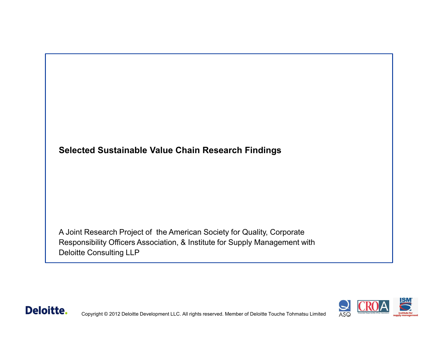

A Joint Research Project of the American Society for Quality, Corporate Responsibility Officers Association, & Institute for Supply Management with Deloitte Consulting LLP



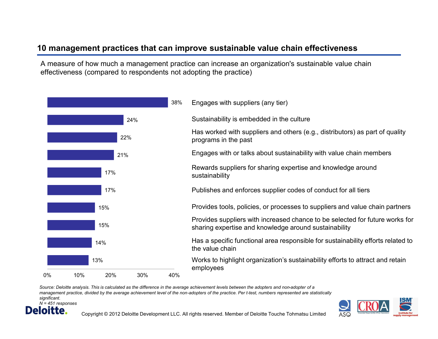## **10 management practices that can improve sustainable value chain effectiveness**

A measure of how much a management practice can increase an organization's sustainable value chain effectiveness (compared to respondents not adopting the practice)

|     |     |     |     | 38% | Engages with suppliers (any tier)                                                                                                     |
|-----|-----|-----|-----|-----|---------------------------------------------------------------------------------------------------------------------------------------|
|     |     |     | 24% |     | Sustainability is embedded in the culture                                                                                             |
|     |     | 22% |     |     | Has worked with suppliers and others (e.g., distributors) as part of quality<br>programs in the past                                  |
|     |     | 21% |     |     | Engages with or talks about sustainability with value chain members                                                                   |
| 17% |     |     |     |     | Rewards suppliers for sharing expertise and knowledge around<br>sustainability                                                        |
| 17% |     |     |     |     | Publishes and enforces supplier codes of conduct for all tiers                                                                        |
| 15% |     |     |     |     | Provides tools, policies, or processes to suppliers and value chain partners                                                          |
| 15% |     |     |     |     | Provides suppliers with increased chance to be selected for future works for<br>sharing expertise and knowledge around sustainability |
| 14% |     |     |     |     | Has a specific functional area responsible for sustainability efforts related to<br>the value chain                                   |
| 13% |     |     |     |     | Works to highlight organization's sustainability efforts to attract and retain<br>employees                                           |
| 0%  | 10% | 20% | 30% | 40% |                                                                                                                                       |

*Source: Deloitte analysis. This is calculated as the difference in the average achievement levels between the adopters and non-adopter of a management practice, divided by the average achievement level of the non-adopters of the practice. Per t-test, numbers represented are statistically significant.* 





Copyright © 2012 Deloitte Development LLC. All rights reserved. Member of Deloitte Touche Tohmatsu Limited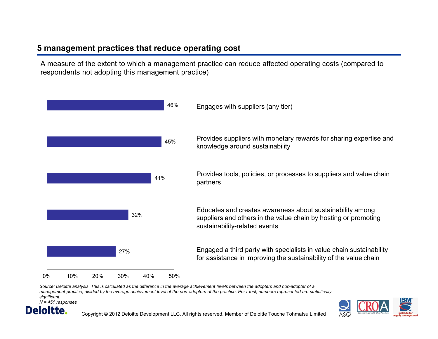## **5 management practices that reduce operating cost**

A measure of the extent to which a management practice can reduce affected operating costs (compared to respondents not adopting this management practice)



*Source: Deloitte analysis. This is calculated as the difference in the average achievement levels between the adopters and non-adopter of a management practice, divided by the average achievement level of the non-adopters of the practice. Per t-test, numbers represented are statistically significant. N = 451 responses*

Deloitte.



Copyright © 2012 Deloitte Development LLC. All rights reserved. Member of Deloitte Touche Tohmatsu Limited